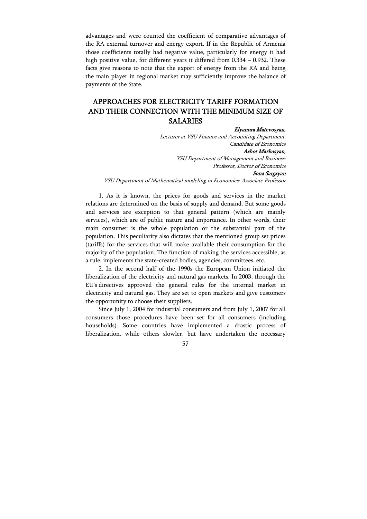advantages and were counted the coefficient of comparative advantages of the RA external turnover and energy export. If in the Republic of Armenia those coefficients totally had negative value, particularly for energy it had high positive value, for different years it differed from 0.334 – 0.932. These facts give reasons to note that the export of energy from the RA and being the main player in regional market may sufficiently improve the balance of payments of the State.

## APPROACHES FOR ELECTRICITY TARIFF FORMATION AND THEIR CONNECTION WITH THE MINIMUM SIZE OF SALARIES

## Elyanora Matevosyan,

Lecturer at YSU Finance and Accounting Department, Candidate of Economics Ashot Markosyan, YSU Department of Management and Business:

Professor, Doctor of Economics

## Sona Sargsyan

YSU Department of Mathematical modeling in Economics: Associate Professor

1. As it is known, the prices for goods and services in the market relations are determined on the basis of supply and demand. But some goods and services are exception to that general pattern (which are mainly services), which are of public nature and importance. In other words, their main consumer is the whole population or the substantial part of the population. This peculiarity also dictates that the mentioned group set prices (tariffs) for the services that will make available their consumption for the majority of the population. The function of making the services accessible, as a rule, implements the state-created bodies, agencies, committees, etc.

2. In the second half of the 1990s the European Union initiated the liberalization of the electricity and natural gas markets. In 2003, through the EU's directives approved the general rules for the internal market in electricity and natural gas. They are set to open markets and give customers the opportunity to choose their suppliers.

Since July 1, 2004 for industrial consumers and from July 1, 2007 for all consumers those procedures have been set for all consumers (including households). Some countries have implemented a drastic process of liberalization, while others slowler, but have undertaken the necessary